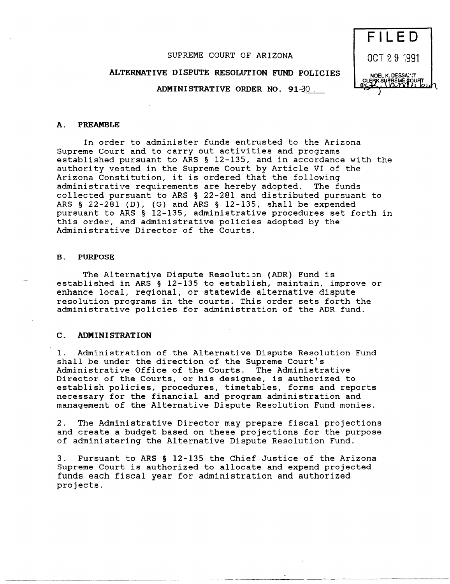# SUPREME COURT OF ARIZONA

# ALTERNATIVE DISPUTE RESOLUTION FUND POLICIES

ADMINISTRATIVE ORDER NO. 91-30



#### A. PREAMBLE

In order to administer funds entrusted to the Arizona Supreme Court and to carry out activities and programs established pursuant to ARS § 12-135, and in accordance with the authority vested in the Supreme Court by Article VI of the Arizona Constitution, it is ordered that the following administrative requirements are hereby adopted. The funds collected pursuant to ARS § 22-281 and distributed pursuant to ARS  $\S$  22-281 (D), (G) and ARS  $\S$  12-135, shall be expended pursuant to ARS § 12-135, administrative procedures set forth in this order, and administrative policies adopted by the Administrative Director of the Courts.

#### B. PURPOSE

The Alternative Dispute Resolution (ADR) Fund is established in ARS § 12-135 to establish, maintain, improve or enhance local, regional, or statewide alternative dispute resolution programs in the courts. This order sets forth the administrative policies for administration of the ADR fund.

### C. ADMINISTRATION

1. Administration of the Alternative Dispute Resolution Fund shall be under the direction of the Supreme Court's Administrative Office of the Courts. The Administrative Director of the Courts, or his designee, is authorized to establish policies, procedures, timetables, forms and reports necessary for the financial and program administration and management of the Alternative Dispute Resolution Fund monies.

2. The Administrative Director may prepare fiscal projections and create a budget based on these projections for the purpose of administering the Alternative Dispute Resolution Fund.

3. Pursuant to ARS § 12-135 the Chief Justice of the Arizona Supreme Court is authorized to allocate and expend projected funds each fiscal year for administration and authorized projects.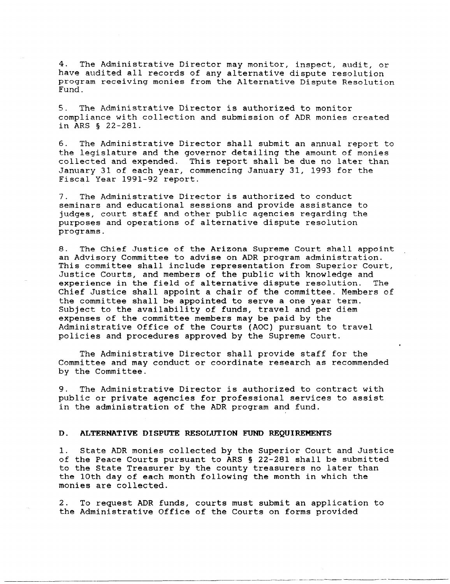4. The Administrative Director may monitor, inspect, audit, or have audited all records of any alternative dispute resolution program receiving monies from the Alternative Dispute Resolution Fund.

5. The Administrative Director is authorized to monitor compliance with collection and submission of ADR monies created in ARS § 22-281.

6. The Administrative Director shall submit an annual report to the legislature and the governor detailing the amount of monies collected and expended. This report shall be due no later than January 31 of each year, commencing January 31, 1993 for the Fiscal Year 1991-92 report.

7. The Administrative Director is authorized to conduct seminars and educational sessions and provide assistance to judges, court staff and other public agencies regarding the purposes and operations of alternative dispute resolution programs.

8. The Chief Justice of the Arizona Supreme Court shall appoint an Advisory Committee to advise on ADR program administration. This committee shall include representation from Superior Court, Justice Courts, and members of the public with knowledge and experience in the field of alternative dispute resolution. The Chief Justice shall appoint a chair of the committee. Members of the committee shall be appointed to serve a one year term. Subject to the availability of funds, travel and per diem expenses of the committee members may be paid by the Administrative Office of the Courts (AOC) pursuant to travel policies and procedures approved by the Supreme Court.

The Administrative Director shall provide staff for the Committee and may conduct or coordinate research as recommended by the Committee.

9. The Administrative Director is authorized to contract with public or private agencies for professional services to assist in the administration of the ADR program and fund.

## D. **ALTERNATIVE DISPUTE RESOLUTION FUND REQUIREMENTS**

---------

1. State ADR monies collected by the Superior Court and Justice of the Peace Courts pursuant to ARS § 22-281 shall be submitted to the State Treasurer by the county treasurers no later than the 10th day of each month following the month in which the monies are collected.

2. To request ADR funds, courts must submit an application to the Administrative Office of the Courts on forms provided